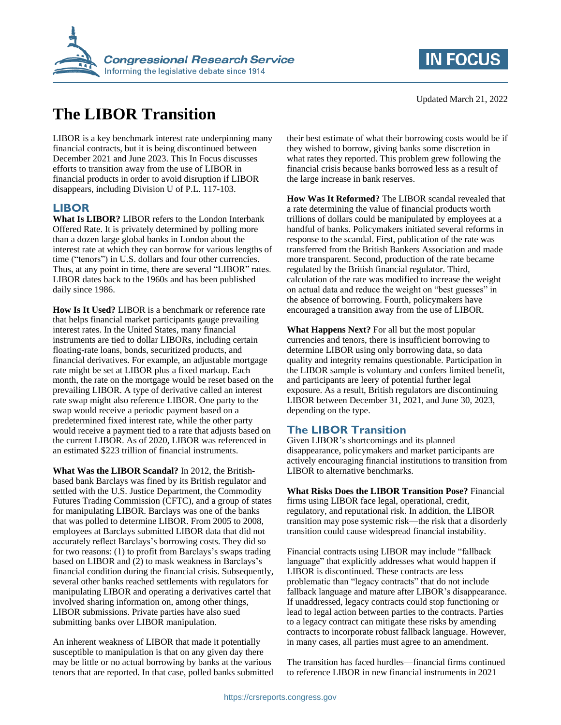

# **The LIBOR Transition**

LIBOR is a key benchmark interest rate underpinning many financial contracts, but it is being discontinued between December 2021 and June 2023. This In Focus discusses efforts to transition away from the use of LIBOR in financial products in order to avoid disruption if LIBOR disappears, including Division U of P.L. 117-103.

#### **LIBOR**

**What Is LIBOR?** LIBOR refers to the London Interbank Offered Rate. It is privately determined by polling more than a dozen large global banks in London about the interest rate at which they can borrow for various lengths of time ("tenors") in U.S. dollars and four other currencies. Thus, at any point in time, there are several "LIBOR" rates. LIBOR dates back to the 1960s and has been published daily since 1986.

**How Is It Used?** LIBOR is a benchmark or reference rate that helps financial market participants gauge prevailing interest rates. In the United States, many financial instruments are tied to dollar LIBORs, including certain floating-rate loans, bonds, securitized products, and financial derivatives. For example, an adjustable mortgage rate might be set at LIBOR plus a fixed markup. Each month, the rate on the mortgage would be reset based on the prevailing LIBOR. A type of derivative called an interest rate swap might also reference LIBOR. One party to the swap would receive a periodic payment based on a predetermined fixed interest rate, while the other party would receive a payment tied to a rate that adjusts based on the current LIBOR. As of 2020, LIBOR was referenced in an estimated \$223 trillion of financial instruments.

**What Was the LIBOR Scandal?** In 2012, the Britishbased bank Barclays was fined by its British regulator and settled with the U.S. Justice Department, the Commodity Futures Trading Commission (CFTC), and a group of states for manipulating LIBOR. Barclays was one of the banks that was polled to determine LIBOR. From 2005 to 2008, employees at Barclays submitted LIBOR data that did not accurately reflect Barclays's borrowing costs. They did so for two reasons: (1) to profit from Barclays's swaps trading based on LIBOR and (2) to mask weakness in Barclays's financial condition during the financial crisis. Subsequently, several other banks reached settlements with regulators for manipulating LIBOR and operating a derivatives cartel that involved sharing information on, among other things, LIBOR submissions. Private parties have also sued submitting banks over LIBOR manipulation.

An inherent weakness of LIBOR that made it potentially susceptible to manipulation is that on any given day there may be little or no actual borrowing by banks at the various tenors that are reported. In that case, polled banks submitted their best estimate of what their borrowing costs would be if they wished to borrow, giving banks some discretion in what rates they reported. This problem grew following the financial crisis because banks borrowed less as a result of the large increase in bank reserves.

**How Was It Reformed?** The LIBOR scandal revealed that a rate determining the value of financial products worth trillions of dollars could be manipulated by employees at a handful of banks. Policymakers initiated several reforms in response to the scandal. First, publication of the rate was transferred from the British Bankers Association and made more transparent. Second, production of the rate became regulated by the British financial regulator. Third, calculation of the rate was modified to increase the weight on actual data and reduce the weight on "best guesses" in the absence of borrowing. Fourth, policymakers have encouraged a transition away from the use of LIBOR.

**What Happens Next?** For all but the most popular currencies and tenors, there is insufficient borrowing to determine LIBOR using only borrowing data, so data quality and integrity remains questionable. Participation in the LIBOR sample is voluntary and confers limited benefit, and participants are leery of potential further legal exposure. As a result, British regulators are discontinuing LIBOR between December 31, 2021, and June 30, 2023, depending on the type.

### **The LIBOR Transition**

Given LIBOR's shortcomings and its planned disappearance, policymakers and market participants are actively encouraging financial institutions to transition from LIBOR to alternative benchmarks.

**What Risks Does the LIBOR Transition Pose?** Financial firms using LIBOR face legal, operational, credit, regulatory, and reputational risk. In addition, the LIBOR transition may pose systemic risk—the risk that a disorderly transition could cause widespread financial instability.

Financial contracts using LIBOR may include "fallback language" that explicitly addresses what would happen if LIBOR is discontinued. These contracts are less problematic than "legacy contracts" that do not include fallback language and mature after LIBOR's disappearance. If unaddressed, legacy contracts could stop functioning or lead to legal action between parties to the contracts. Parties to a legacy contract can mitigate these risks by amending contracts to incorporate robust fallback language. However, in many cases, all parties must agree to an amendment.

The transition has faced hurdles—financial firms continued to reference LIBOR in new financial instruments in 2021

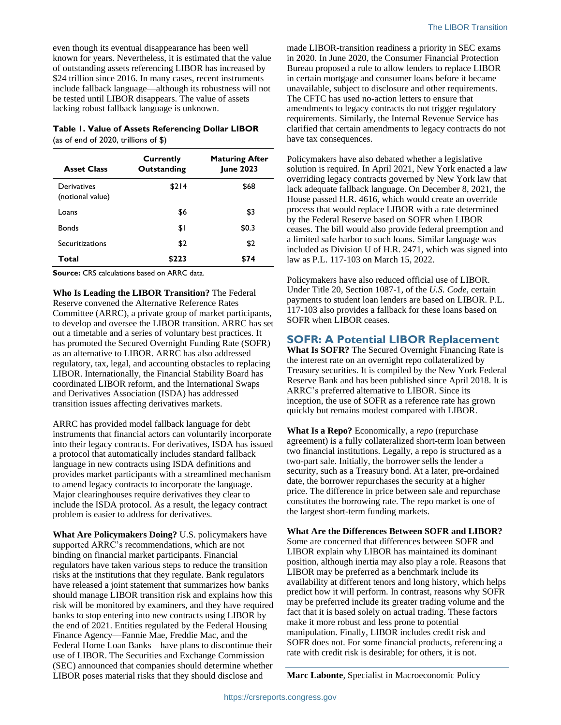even though its eventual disappearance has been well known for years. Nevertheless, it is estimated that the value of outstanding assets referencing LIBOR has increased by \$24 trillion since 2016. In many cases, recent instruments include fallback language—although its robustness will not be tested until LIBOR disappears. The value of assets lacking robust fallback language is unknown.

# **Table 1. Value of Assets Referencing Dollar LIBOR**

(as of end of 2020, trillions of \$)

| <b>Asset Class</b>              | <b>Currently</b><br>Outstanding | <b>Maturing After</b><br><b>June 2023</b> |
|---------------------------------|---------------------------------|-------------------------------------------|
| Derivatives<br>(notional value) | \$214                           | \$68                                      |
| Loans                           | \$6                             | \$3                                       |
| <b>Bonds</b>                    | \$١                             | \$0.3                                     |
| Securitizations                 | \$2                             | \$2                                       |
| Total                           | \$223                           | \$74                                      |

**Source:** CRS calculations based on ARRC data.

**Who Is Leading the LIBOR Transition?** The Federal Reserve convened the Alternative Reference Rates Committee (ARRC), a private group of market participants, to develop and oversee the LIBOR transition. ARRC has set out a timetable and a series of voluntary best practices. It has promoted the Secured Overnight Funding Rate (SOFR) as an alternative to LIBOR. ARRC has also addressed regulatory, tax, legal, and accounting obstacles to replacing LIBOR. Internationally, the Financial Stability Board has coordinated LIBOR reform, and the International Swaps and Derivatives Association (ISDA) has addressed transition issues affecting derivatives markets.

ARRC has provided model fallback language for debt instruments that financial actors can voluntarily incorporate into their legacy contracts. For derivatives, ISDA has issued a protocol that automatically includes standard fallback language in new contracts using ISDA definitions and provides market participants with a streamlined mechanism to amend legacy contracts to incorporate the language. Major clearinghouses require derivatives they clear to include the ISDA protocol. As a result, the legacy contract problem is easier to address for derivatives.

**What Are Policymakers Doing?** U.S. policymakers have supported ARRC's recommendations, which are not binding on financial market participants. Financial regulators have taken various steps to reduce the transition risks at the institutions that they regulate. Bank regulators have released a joint statement that summarizes how banks should manage LIBOR transition risk and explains how this risk will be monitored by examiners, and they have required banks to stop entering into new contracts using LIBOR by the end of 2021. Entities regulated by the Federal Housing Finance Agency—Fannie Mae, Freddie Mac, and the Federal Home Loan Banks—have plans to discontinue their use of LIBOR. The Securities and Exchange Commission (SEC) announced that companies should determine whether LIBOR poses material risks that they should disclose and

made LIBOR-transition readiness a priority in SEC exams in 2020. In June 2020, the Consumer Financial Protection Bureau proposed a rule to allow lenders to replace LIBOR in certain mortgage and consumer loans before it became unavailable, subject to disclosure and other requirements. The CFTC has used no-action letters to ensure that amendments to legacy contracts do not trigger regulatory requirements. Similarly, the Internal Revenue Service has clarified that certain amendments to legacy contracts do not have tax consequences.

Policymakers have also debated whether a legislative solution is required. In April 2021, New York enacted a law overriding legacy contracts governed by New York law that lack adequate fallback language. On December 8, 2021, the House passed H.R. 4616, which would create an override process that would replace LIBOR with a rate determined by the Federal Reserve based on SOFR when LIBOR ceases. The bill would also provide federal preemption and a limited safe harbor to such loans. Similar language was included as Division U of H.R. 2471, which was signed into law as P.L. 117-103 on March 15, 2022.

Policymakers have also reduced official use of LIBOR. Under Title 20, Section 1087-1, of the *U.S. Code*, certain payments to student loan lenders are based on LIBOR. P.L. 117-103 also provides a fallback for these loans based on SOFR when LIBOR ceases.

### **SOFR: A Potential LIBOR Replacement**

**What Is SOFR?** The Secured Overnight Financing Rate is the interest rate on an overnight repo collateralized by Treasury securities. It is compiled by the New York Federal Reserve Bank and has been published since April 2018. It is ARRC's preferred alternative to LIBOR. Since its inception, the use of SOFR as a reference rate has grown quickly but remains modest compared with LIBOR.

**What Is a Repo?** Economically, a *repo* (repurchase agreement) is a fully collateralized short-term loan between two financial institutions. Legally, a repo is structured as a two-part sale. Initially, the borrower sells the lender a security, such as a Treasury bond. At a later, pre-ordained date, the borrower repurchases the security at a higher price. The difference in price between sale and repurchase constitutes the borrowing rate. The repo market is one of the largest short-term funding markets.

**What Are the Differences Between SOFR and LIBOR?** Some are concerned that differences between SOFR and LIBOR explain why LIBOR has maintained its dominant position, although inertia may also play a role. Reasons that LIBOR may be preferred as a benchmark include its availability at different tenors and long history, which helps predict how it will perform. In contrast, reasons why SOFR may be preferred include its greater trading volume and the fact that it is based solely on actual trading. These factors make it more robust and less prone to potential manipulation. Finally, LIBOR includes credit risk and SOFR does not. For some financial products, referencing a rate with credit risk is desirable; for others, it is not.

**Marc Labonte**, Specialist in Macroeconomic Policy